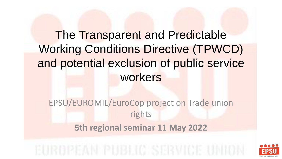# The Transparent and Predictable Working Conditions Directive (TPWCD) and potential exclusion of public service workers

EPSU/EUROMIL/EuroCop project on Trade union rights **5th regional seminar 11 May 2022**

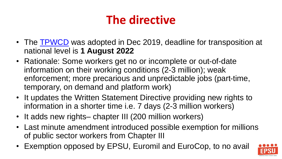# **The directive**

- The **TPWCD** was adopted in Dec 2019, deadline for transposition at national level is **1 August 2022**
- Rationale: Some workers get no or incomplete or out-of-date information on their working conditions (2-3 million); weak enforcement; more precarious and unpredictable jobs (part-time, temporary, on demand and platform work)
- It updates the Written Statement Directive providing new rights to information in a shorter time i.e. 7 days (2-3 million workers)
- It adds new rights– chapter III (200 million workers)
- Last minute amendment introduced possible exemption for millions of public sector workers from Chapter III
- Exemption opposed by EPSU, Euromil and EuroCop, to no avail

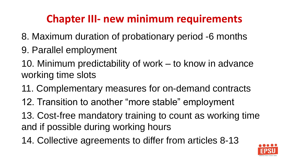### **Chapter III- new minimum requirements**

- 8. Maximum duration of probationary period -6 months
- 9. Parallel employment
- 10. Minimum predictability of work to know in advance working time slots
- 11. Complementary measures for on-demand contracts
- 12. Transition to another "more stable" employment
- 13. Cost-free mandatory training to count as working time and if possible during working hours
- 14. Collective agreements to differ from articles 8-13

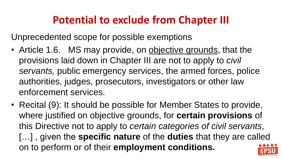### **Potential to exclude from Chapter III**

Unprecedented scope for possible exemptions

- Article 1.6. MS may provide, on objective grounds, that the provisions laid down in Chapter III are not to apply to *civil servants,* public emergency services, the armed forces, police authorities, judges, prosecutors, investigators or other law enforcement services.
- Recital (9): It should be possible for Member States to provide, where justified on objective grounds, for **certain provisions** of this Directive not to apply to *certain categories of civil servants*, […] , given the **specific nature** of the **duties** that they are called on to perform or of their **employment conditions.**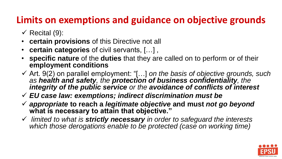#### **Limits on exemptions and guidance on objective grounds**

- $\checkmark$  Recital (9):
- **certain provisions** of this Directive not all
- **certain categories** of civil servants, […] ,
- **specific nature** of the **duties** that they are called on to perform or of their **employment conditions**
- ✓ Art. 9(2) on parallel employment: "[…] *on the basis of objective grounds, such as health and safety, the protection of business confidentiality, the integrity of the public service or the avoidance of conflicts of interest*
- ✓ *EU case law: exemptions; indirect discrimination must be*
- ✓ *appropriate* **to reach a** *legitimate objective* **and must** *not go beyond*  **what is necessary to attain that objective."**
- ✓ *limited to what is strictly necessary in order to safeguard the interests which those derogations enable to be protected (case on working time)*

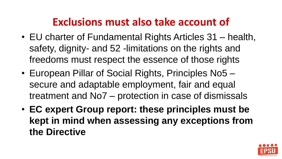### **Exclusions must also take account of**

- EU charter of Fundamental Rights Articles 31 health, safety, dignity- and 52 -limitations on the rights and freedoms must respect the essence of those rights
- European Pillar of Social Rights, Principles No5 secure and adaptable employment, fair and equal treatment and No7 – protection in case of dismissals
- **EC expert Group report: these principles must be kept in mind when assessing any exceptions from the Directive**

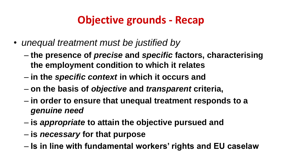## **Objective grounds - Recap**

- *unequal treatment must be justified by*
	- **the presence of** *precise* **and** *specific* **factors, characterising the employment condition to which it relates**
	- **in the** *specific context* **in which it occurs and**
	- **on the basis of** *objective* **and** *transparent* **criteria,**
	- **in order to ensure that unequal treatment responds to a**  *genuine need*
	- **is** *appropriate* **to attain the objective pursued and**
	- **is** *necessary* **for that purpose**
	- **Is in line with fundamental workers' rights and EU caselaw**